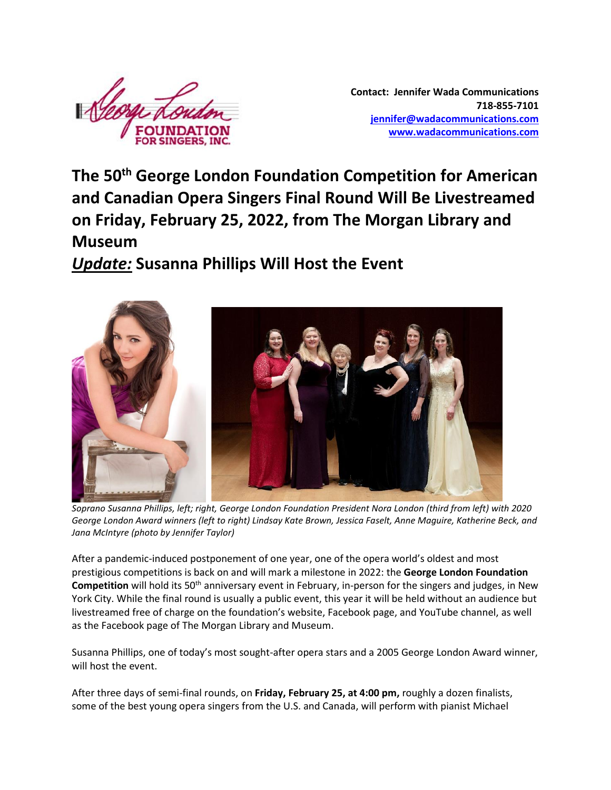

**Contact: Jennifer Wada Communications 718-855-7101 [jennifer@wadacommunications.com](mailto:jennifer@wadacommunications.com) [www.wadacommunications.com](http://www.wadacommunications.com/)**

**The 50th George London Foundation Competition for American and Canadian Opera Singers Final Round Will Be Livestreamed on Friday, February 25, 2022, from The Morgan Library and Museum**

*Update:* **Susanna Phillips Will Host the Event**



*Soprano Susanna Phillips, left; right, George London Foundation President Nora London (third from left) with 2020 George London Award winners (left to right) Lindsay Kate Brown, Jessica Faselt, Anne Maguire, Katherine Beck, and Jana McIntyre (photo by Jennifer Taylor)*

After a pandemic-induced postponement of one year, one of the opera world's oldest and most prestigious competitions is back on and will mark a milestone in 2022: the **George London Foundation Competition** will hold its 50<sup>th</sup> anniversary event in February, in-person for the singers and judges, in New York City. While the final round is usually a public event, this year it will be held without an audience but livestreamed free of charge on the foundation's website, Facebook page, and YouTube channel, as well as the Facebook page of The Morgan Library and Museum.

Susanna Phillips, one of today's most sought-after opera stars and a 2005 George London Award winner, will host the event.

After three days of semi-final rounds, on **Friday, February 25, at 4:00 pm,** roughly a dozen finalists, some of the best young opera singers from the U.S. and Canada, will perform with pianist Michael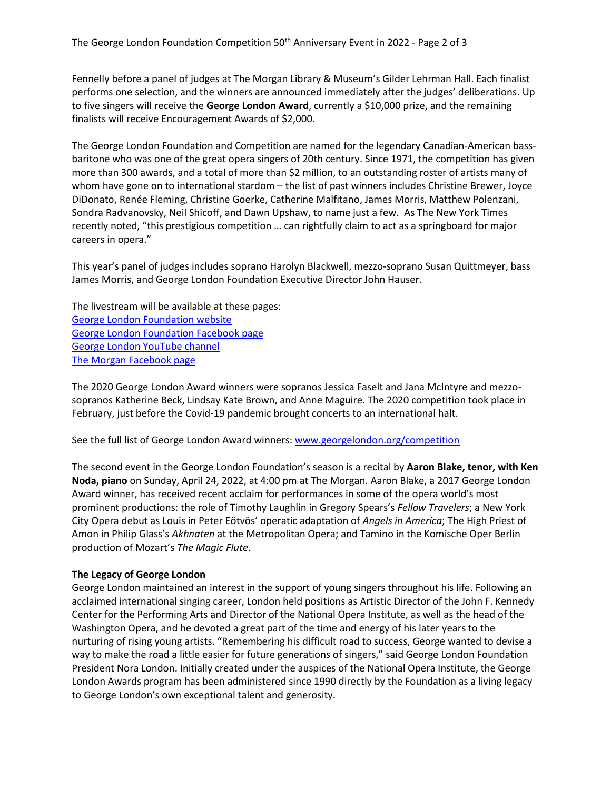Fennelly before a panel of judges at The Morgan Library & Museum's Gilder Lehrman Hall. Each finalist performs one selection, and the winners are announced immediately after the judges' deliberations. Up to five singers will receive the **George London Award**, currently a \$10,000 prize, and the remaining finalists will receive Encouragement Awards of \$2,000.

The George London Foundation and Competition are named for the legendary Canadian-American bassbaritone who was one of the great opera singers of 20th century. Since 1971, the competition has given more than 300 awards, and a total of more than \$2 million, to an outstanding roster of artists many of whom have gone on to international stardom – the list of past winners includes Christine Brewer, Joyce DiDonato, Renée Fleming, Christine Goerke, Catherine Malfitano, James Morris, Matthew Polenzani, Sondra Radvanovsky, Neil Shicoff, and Dawn Upshaw, to name just a few. As The New York Times recently noted, "this prestigious competition … can rightfully claim to act as a springboard for major careers in opera."

This year's panel of judges includes soprano Harolyn Blackwell, mezzo-soprano Susan Quittmeyer, bass James Morris, and George London Foundation Executive Director John Hauser.

The livestream will be available at these pages: [George London Foundation website](https://www.georgelondon.org/) [George London Foundation Facebook page](https://www.facebook.com/profile.php?id=100075484692623) [George London YouTube](https://www.youtube.com/channel/UC42f7RPxWBMyteub5oVY0OQ) channel [The Morgan Facebook page](https://www.facebook.com/morganlibrary)

The 2020 George London Award winners were sopranos Jessica Faselt and Jana McIntyre and mezzosopranos Katherine Beck, Lindsay Kate Brown, and Anne Maguire. The 2020 competition took place in February, just before the Covid-19 pandemic brought concerts to an international halt.

See the full list of George London Award winners[: www.georgelondon.org/competition](http://www.georgelondon.org/competition)

The second event in the George London Foundation's season is a recital by **Aaron Blake, tenor, with Ken Noda, piano** on Sunday, April 24, 2022, at 4:00 pm at The Morgan*.* Aaron Blake, a 2017 George London Award winner, has received recent acclaim for performances in some of the opera world's most prominent productions: the role of Timothy Laughlin in Gregory Spears's *Fellow Travelers*; a New York City Opera debut as Louis in Peter Eötvös' operatic adaptation of *Angels in America*; The High Priest of Amon in Philip Glass's *Akhnaten* at the Metropolitan Opera; and Tamino in the Komische Oper Berlin production of Mozart's *The Magic Flute*.

## **The Legacy of George London**

George London maintained an interest in the support of young singers throughout his life. Following an acclaimed international singing career, London held positions as Artistic Director of the John F. Kennedy Center for the Performing Arts and Director of the National Opera Institute, as well as the head of the Washington Opera, and he devoted a great part of the time and energy of his later years to the nurturing of rising young artists. "Remembering his difficult road to success, George wanted to devise a way to make the road a little easier for future generations of singers," said George London Foundation President Nora London. Initially created under the auspices of the National Opera Institute, the George London Awards program has been administered since 1990 directly by the Foundation as a living legacy to George London's own exceptional talent and generosity.